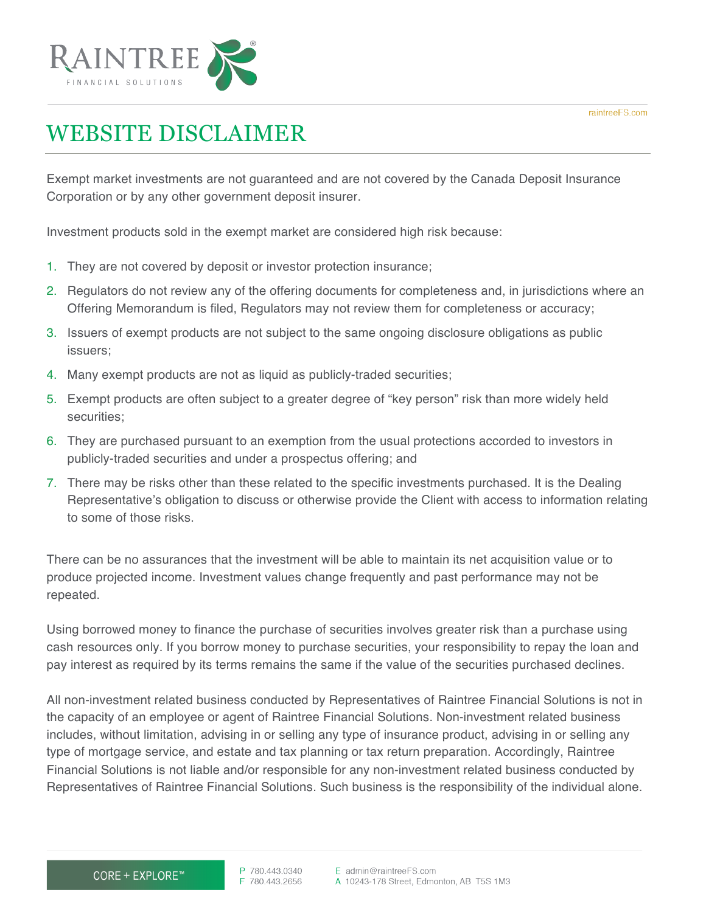

## WEBSITE DISCLAIMER

Exempt market investments are not guaranteed and are not covered by the Canada Deposit Insurance Corporation or by any other government deposit insurer.

Investment products sold in the exempt market are considered high risk because:

- 1. They are not covered by deposit or investor protection insurance;
- 2. Regulators do not review any of the offering documents for completeness and, in jurisdictions where an Offering Memorandum is filed, Regulators may not review them for completeness or accuracy;
- 3. Issuers of exempt products are not subject to the same ongoing disclosure obligations as public issuers;
- 4. Many exempt products are not as liquid as publicly-traded securities;
- 5. Exempt products are often subject to a greater degree of "key person" risk than more widely held securities;
- 6. They are purchased pursuant to an exemption from the usual protections accorded to investors in publicly-traded securities and under a prospectus offering; and
- 7. There may be risks other than these related to the specific investments purchased. It is the Dealing Representative's obligation to discuss or otherwise provide the Client with access to information relating to some of those risks.

There can be no assurances that the investment will be able to maintain its net acquisition value or to produce projected income. Investment values change frequently and past performance may not be repeated.

Using borrowed money to finance the purchase of securities involves greater risk than a purchase using cash resources only. If you borrow money to purchase securities, your responsibility to repay the loan and pay interest as required by its terms remains the same if the value of the securities purchased declines.

All non-investment related business conducted by Representatives of Raintree Financial Solutions is not in the capacity of an employee or agent of Raintree Financial Solutions. Non-investment related business includes, without limitation, advising in or selling any type of insurance product, advising in or selling any type of mortgage service, and estate and tax planning or tax return preparation. Accordingly, Raintree Financial Solutions is not liable and/or responsible for any non-investment related business conducted by Representatives of Raintree Financial Solutions. Such business is the responsibility of the individual alone.